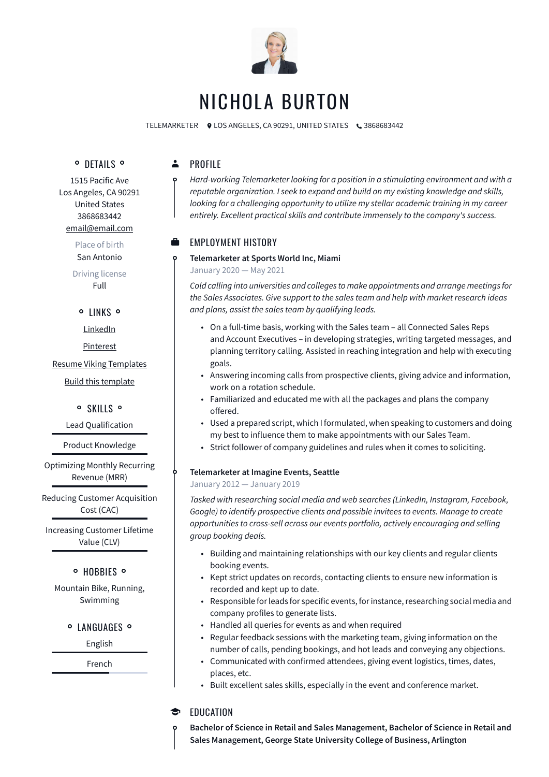

# NICHOLA BURTON

TELEMARKETER  $\bullet$  LOS ANGELES, CA 90291, UNITED STATES  $\bullet$  3868683442

**O** DETAILS **O** 

 $\ddot{\bullet}$ PROFILE

> *Hard-working Telemarketer looking for a position in a stimulating environment and with a reputable organization. I seek to expand and build on my existing knowledge and skills, looking for a challenging opportunity to utilize my stellar academic training in my career entirely. Excellent practical skills and contribute immensely to the company's success.*

## EMPLOYMENT HISTORY

#### **Telemarketer at Sports World Inc, Miami**

January 2020 — May 2021

*Cold calling into universities and colleges to make appointments and arrange meetings for the Sales Associates. Give support to the sales team and help with market research ideas and plans, assist the sales team by qualifying leads.*

- On a full-time basis, working with the Sales team all Connected Sales Reps and Account Executives – in developing strategies, writing targeted messages, and planning territory calling. Assisted in reaching integration and help with executing goals.
- Answering incoming calls from prospective clients, giving advice and information, work on a rotation schedule.
- Familiarized and educated me with all the packages and plans the company offered.
- Used a prepared script, which I formulated, when speaking to customers and doing my best to influence them to make appointments with our Sales Team.
- Strict follower of company guidelines and rules when it comes to soliciting.

#### **Telemarketer at Imagine Events, Seattle**

#### January 2012 — January 2019

*Tasked with researching social media and web searches (LinkedIn, Instagram, Facebook, Google) to identify prospective clients and possible invitees to events. Manage to create opportunities to cross-sell across our events portfolio, actively encouraging and selling group booking deals.*

- Building and maintaining relationships with our key clients and regular clients booking events.
- Kept strict updates on records, contacting clients to ensure new information is recorded and kept up to date.
- Responsible for leads for specific events, for instance, researching social media and company profiles to generate lists.
- Handled all queries for events as and when required
- Regular feedback sessions with the marketing team, giving information on the number of calls, pending bookings, and hot leads and conveying any objections.
- Communicated with confirmed attendees, giving event logistics, times, dates, places, etc.
- Built excellent sales skills, especially in the event and conference market.

#### EDUCATION  $\bullet$

**Bachelor of Science in Retail and Sales Management, Bachelor of Science in Retail and Sales Management, George State University College of Business, Arlington**

1515 Pacific Ave Los Angeles, CA 90291 United States 3868683442 [email@email.com](mailto:email@email.com)

> Place of birth San Antonio

Driving license Full

#### o LINKS o

[LinkedIn](https://www.linkedin.com/)

[Pinterest](https://www.pinterest.es/resumeviking/)

#### [Resume Viking Templates](https://www.resumeviking.com/templates/word/)

[Build this template](https://resume.io/?id=cpdokyF1)

#### o SKILLS o

Lead Qualification

Product Knowledge

Optimizing Monthly Recurring Revenue (MRR)

Reducing Customer Acquisition Cost (CAC)

Increasing Customer Lifetime Value (CLV)

### **O** HOBBIES O

Mountain Bike, Running, Swimming

#### **O LANGUAGES O**

English

French